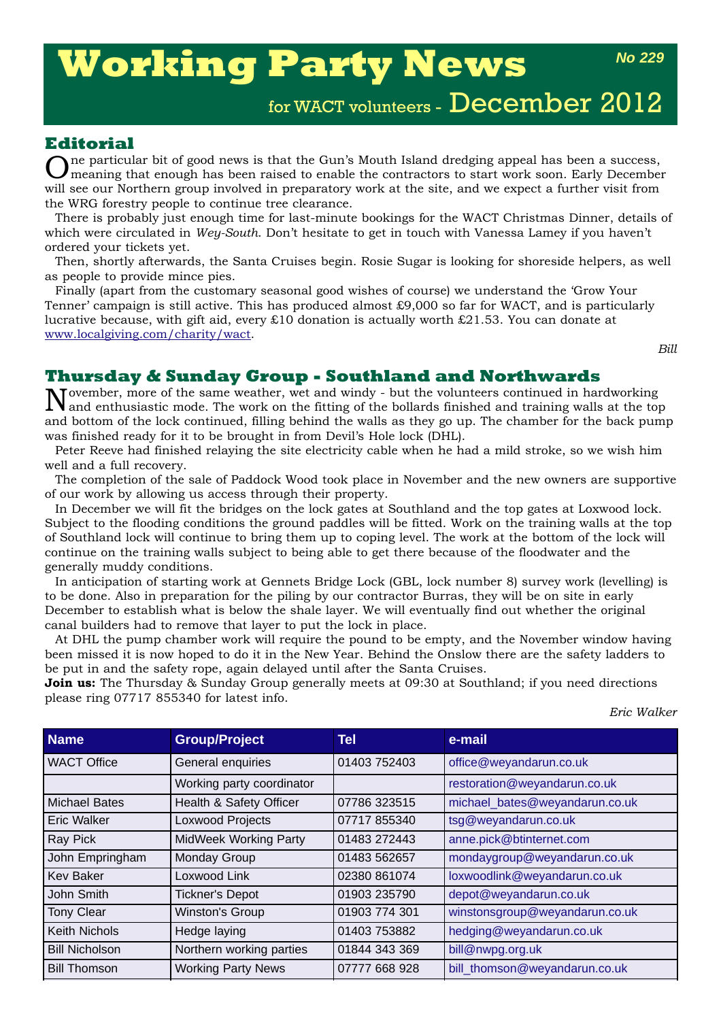# **Working Party News**

# for WACT volunteers - December 2012

## **Editorial**

ne particular bit of good news is that the Gun's Mouth Island dredging appeal has been a success, meaning that enough has been raised to enable the contractors to start work soon. Early December will see our Northern group involved in preparatory work at the site, and we expect a further visit from the WRG forestry people to continue tree clearance.

There is probably just enough time for last-minute bookings for the WACT Christmas Dinner, details of which were circulated in *Wey-South*. Don't hesitate to get in touch with Vanessa Lamey if you haven't ordered your tickets yet.

Then, shortly afterwards, the Santa Cruises begin. Rosie Sugar is looking for shoreside helpers, as well as people to provide mince pies.

Finally (apart from the customary seasonal good wishes of course) we understand the 'Grow Your Tenner' campaign is still active. This has produced almost £9,000 so far for WACT, and is particularly lucrative because, with gift aid, every £10 donation is actually worth £21.53. You can donate at www.localgiving.com/charity/wact.

*Bill*

### **Thursday & Sunday Group - Southland and Northwards**

November, more of the same weather, wet and windy - but the volunteers continued in hardworking and enthusiastic mode. The work on the fitting of the bollards finished and training walls at the top and bottom of the lock continued, filling behind the walls as they go up. The chamber for the back pump was finished ready for it to be brought in from Devil's Hole lock (DHL).

Peter Reeve had finished relaying the site electricity cable when he had a mild stroke, so we wish him well and a full recovery.

The completion of the sale of Paddock Wood took place in November and the new owners are supportive of our work by allowing us access through their property.

In December we will fit the bridges on the lock gates at Southland and the top gates at Loxwood lock. Subject to the flooding conditions the ground paddles will be fitted. Work on the training walls at the top of Southland lock will continue to bring them up to coping level. The work at the bottom of the lock will continue on the training walls subject to being able to get there because of the floodwater and the generally muddy conditions.

In anticipation of starting work at Gennets Bridge Lock (GBL, lock number 8) survey work (levelling) is to be done. Also in preparation for the piling by our contractor Burras, they will be on site in early December to establish what is below the shale layer. We will eventually find out whether the original canal builders had to remove that layer to put the lock in place.

At DHL the pump chamber work will require the pound to be empty, and the November window having been missed it is now hoped to do it in the New Year. Behind the Onslow there are the safety ladders to be put in and the safety rope, again delayed until after the Santa Cruises.

**Join us:** The Thursday & Sunday Group generally meets at 09:30 at Southland; if you need directions please ring 07717 855340 for latest info.

*Eric Walker*

| <b>Name</b>           | <b>Group/Project</b>      | Tel           | e-mail                         |
|-----------------------|---------------------------|---------------|--------------------------------|
| <b>WACT Office</b>    | General enquiries         | 01403 752403  | office@weyandarun.co.uk        |
|                       | Working party coordinator |               | restoration@weyandarun.co.uk   |
| <b>Michael Bates</b>  | Health & Safety Officer   | 07786 323515  | michael_bates@weyandarun.co.uk |
| <b>Eric Walker</b>    | Loxwood Projects          | 07717 855340  | tsg@weyandarun.co.uk           |
| Ray Pick              | MidWeek Working Party     | 01483 272443  | anne.pick@btinternet.com       |
| John Empringham       | Monday Group              | 01483 562657  | mondaygroup@weyandarun.co.uk   |
| <b>Kev Baker</b>      | Loxwood Link              | 02380 861074  | loxwoodlink@weyandarun.co.uk   |
| John Smith            | <b>Tickner's Depot</b>    | 01903 235790  | depot@weyandarun.co.uk         |
| <b>Tony Clear</b>     | Winston's Group           | 01903 774 301 | winstonsgroup@weyandarun.co.uk |
| <b>Keith Nichols</b>  | Hedge laying              | 01403 753882  | hedging@weyandarun.co.uk       |
| <b>Bill Nicholson</b> | Northern working parties  | 01844 343 369 | bill@nwpg.org.uk               |
| <b>Bill Thomson</b>   | <b>Working Party News</b> | 07777 668 928 | bill_thomson@weyandarun.co.uk  |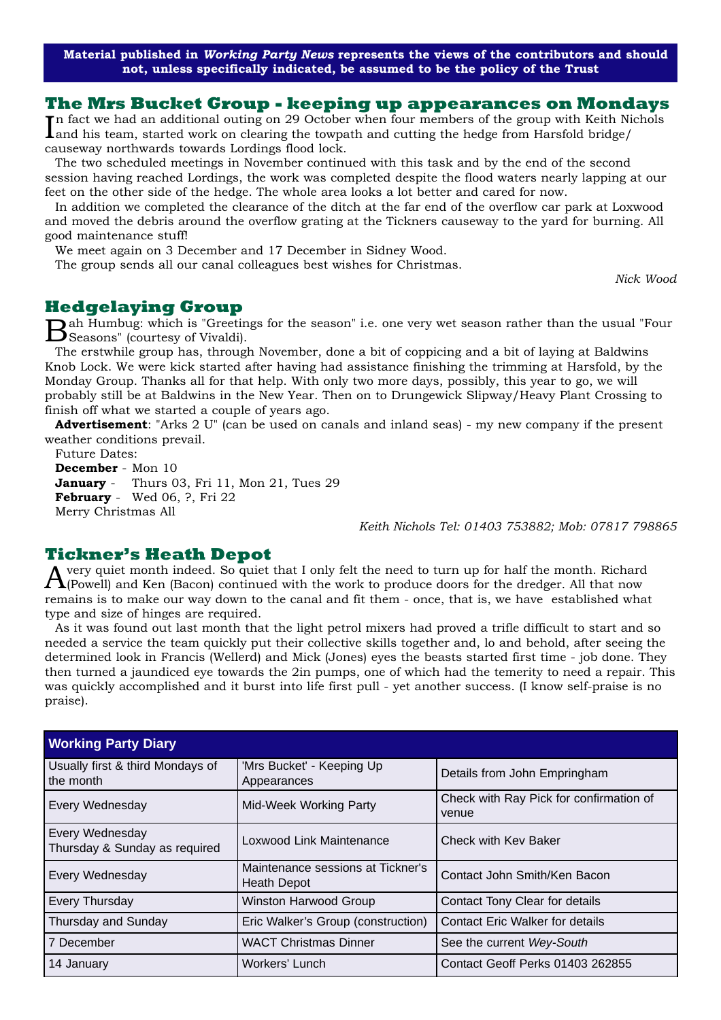**Material published in** *Working Party News* **represents the views of the contributors and should not, unless specifically indicated, be assumed to be the policy of the Trust**

#### **The Mrs Bucket Group - keeping up appearances on Mondays**

In fact we had an additional outing on 29 October when four members of the group with Keith Nichols<br>Land his team, started work on clearing the towpath and cutting the hedge from Harsfold bridge/ and his team, started work on clearing the towpath and cutting the hedge from Harsfold bridge/ causeway northwards towards Lordings flood lock.

The two scheduled meetings in November continued with this task and by the end of the second session having reached Lordings, the work was completed despite the flood waters nearly lapping at our feet on the other side of the hedge. The whole area looks a lot better and cared for now.

In addition we completed the clearance of the ditch at the far end of the overflow car park at Loxwood and moved the debris around the overflow grating at the Tickners causeway to the yard for burning. All good maintenance stuff!

We meet again on 3 December and 17 December in Sidney Wood.

The group sends all our canal colleagues best wishes for Christmas.

*Nick Wood*

#### **Hedgelaying Group**

Bah Humbug: which is "Greetings for the season" i.e. one very wet season rather than the usual "Four Seasons" (courtesy of Vivaldi).

The erstwhile group has, through November, done a bit of coppicing and a bit of laying at Baldwins Knob Lock. We were kick started after having had assistance finishing the trimming at Harsfold, by the Monday Group. Thanks all for that help. With only two more days, possibly, this year to go, we will probably still be at Baldwins in the New Year. Then on to Drungewick Slipway/Heavy Plant Crossing to finish off what we started a couple of years ago.

**Advertisement**: "Arks 2 U" (can be used on canals and inland seas) - my new company if the present weather conditions prevail.

Future Dates: **December** - Mon 10 **January** - Thurs 03, Fri 11, Mon 21, Tues 29 **February** - Wed 06, ?, Fri 22 Merry Christmas All

*Keith Nichols Tel: 01403 753882; Mob: 07817 798865*

#### **Tickner's Heath Depot**

Avery quiet month indeed. So quiet that I only felt the need to turn up for half the month. Richard  $\mathbf{\Lambda}$ (Powell) and Ken (Bacon) continued with the work to produce doors for the dredger. All that now remains is to make our way down to the canal and fit them - once, that is, we have established what type and size of hinges are required.

As it was found out last month that the light petrol mixers had proved a trifle difficult to start and so needed a service the team quickly put their collective skills together and, lo and behold, after seeing the determined look in Francis (Wellerd) and Mick (Jones) eyes the beasts started first time - job done. They then turned a jaundiced eye towards the 2in pumps, one of which had the temerity to need a repair. This was quickly accomplished and it burst into life first pull - yet another success. (I know self-praise is no praise).

| <b>Working Party Diary</b>                       |                                                         |                                                  |  |
|--------------------------------------------------|---------------------------------------------------------|--------------------------------------------------|--|
| Usually first & third Mondays of<br>the month    | 'Mrs Bucket' - Keeping Up<br>Appearances                | Details from John Empringham                     |  |
| Every Wednesday                                  | Mid-Week Working Party                                  | Check with Ray Pick for confirmation of<br>venue |  |
| Every Wednesday<br>Thursday & Sunday as required | Loxwood Link Maintenance                                | Check with Key Baker                             |  |
| Every Wednesday                                  | Maintenance sessions at Tickner's<br><b>Heath Depot</b> | Contact John Smith/Ken Bacon                     |  |
| Every Thursday                                   | Winston Harwood Group                                   | Contact Tony Clear for details                   |  |
| Thursday and Sunday                              | Eric Walker's Group (construction)                      | <b>Contact Eric Walker for details</b>           |  |
| 7 December                                       | <b>WACT Christmas Dinner</b>                            | See the current Wey-South                        |  |
| 14 January                                       | Workers' Lunch                                          | Contact Geoff Perks 01403 262855                 |  |